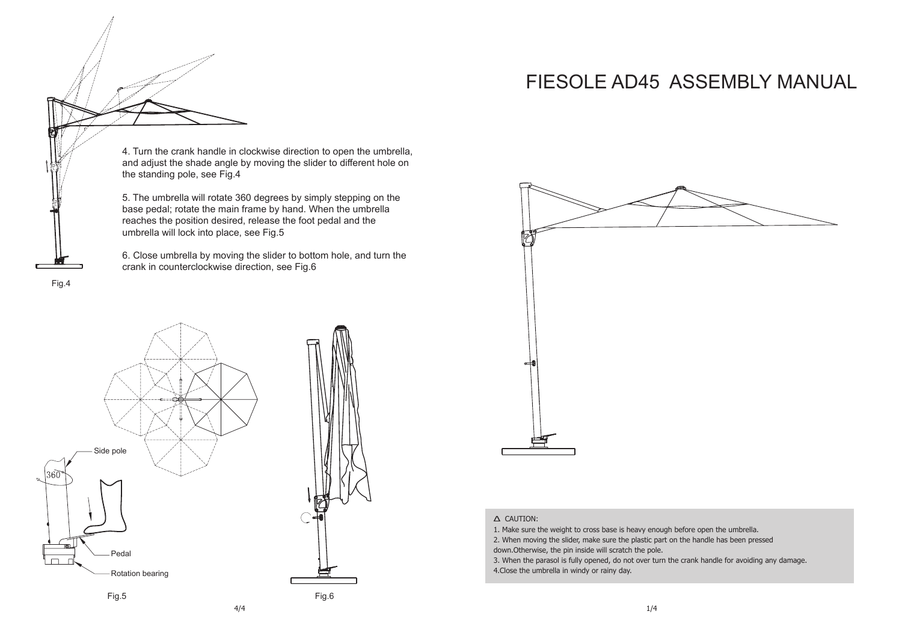## FIESOLE AD45 ASSEMBLY MANUAL

4. Turn the crank handle in clockwise direction to open the umbrella, and adjust the shade angle by moving the slider to different hole on the standing pole, see Fig.4

5. The umbrella will rotate 360 degrees by simply stepping on the base pedal; rotate the main frame by hand. When the umbrella reaches the position desired, release the foot pedal and the umbrella will lock into place, see Fig.5

6. Close umbrella by moving the slider to bottom hole, and turn the crank in counterclockwise direction, see Fig.6

Fig.4



Fig.5 Fig.6



## ∆ CAUTION:

1. Make sure the weight to cross base is heavy enough before open the umbrella.

2. When moving the slider, make sure the plastic part on the handle has been pressed down.Otherwise, the pin inside will scratch the pole.

3. When the parasol is fully opened, do not over turn the crank handle for avoiding any damage. 4.Close the umbrella in windy or rainy day.